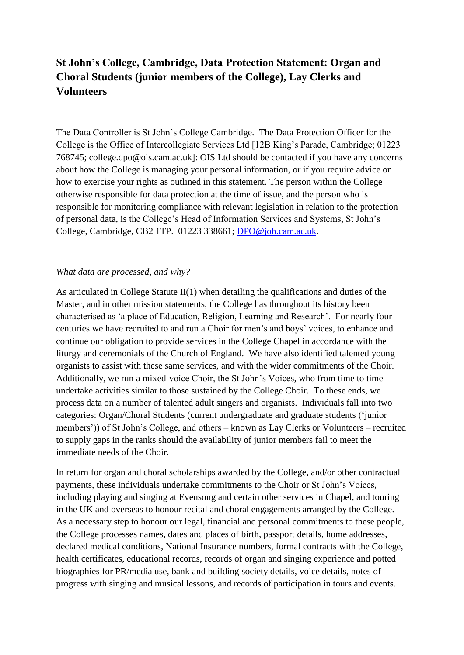# **St John's College, Cambridge, Data Protection Statement: Organ and Choral Students (junior members of the College), Lay Clerks and Volunteers**

The Data Controller is St John's College Cambridge. The Data Protection Officer for the College is the Office of Intercollegiate Services Ltd [12B King's Parade, Cambridge; 01223 768745; college.dpo@ois.cam.ac.uk]: OIS Ltd should be contacted if you have any concerns about how the College is managing your personal information, or if you require advice on how to exercise your rights as outlined in this statement. The person within the College otherwise responsible for data protection at the time of issue, and the person who is responsible for monitoring compliance with relevant legislation in relation to the protection of personal data, is the College's Head of Information Services and Systems, St John's College, Cambridge, CB2 1TP. 01223 338661; [DPO@joh.cam.ac.uk.](mailto:DPO@joh.cam.ac.uk)

## *What data are processed, and why?*

As articulated in College Statute  $II(1)$  when detailing the qualifications and duties of the Master, and in other mission statements, the College has throughout its history been characterised as 'a place of Education, Religion, Learning and Research'. For nearly four centuries we have recruited to and run a Choir for men's and boys' voices, to enhance and continue our obligation to provide services in the College Chapel in accordance with the liturgy and ceremonials of the Church of England. We have also identified talented young organists to assist with these same services, and with the wider commitments of the Choir. Additionally, we run a mixed-voice Choir, the St John's Voices, who from time to time undertake activities similar to those sustained by the College Choir. To these ends, we process data on a number of talented adult singers and organists. Individuals fall into two categories: Organ/Choral Students (current undergraduate and graduate students ('junior members')) of St John's College, and others – known as Lay Clerks or Volunteers – recruited to supply gaps in the ranks should the availability of junior members fail to meet the immediate needs of the Choir.

In return for organ and choral scholarships awarded by the College, and/or other contractual payments, these individuals undertake commitments to the Choir or St John's Voices, including playing and singing at Evensong and certain other services in Chapel, and touring in the UK and overseas to honour recital and choral engagements arranged by the College. As a necessary step to honour our legal, financial and personal commitments to these people, the College processes names, dates and places of birth, passport details, home addresses, declared medical conditions, National Insurance numbers, formal contracts with the College, health certificates, educational records, records of organ and singing experience and potted biographies for PR/media use, bank and building society details, voice details, notes of progress with singing and musical lessons, and records of participation in tours and events.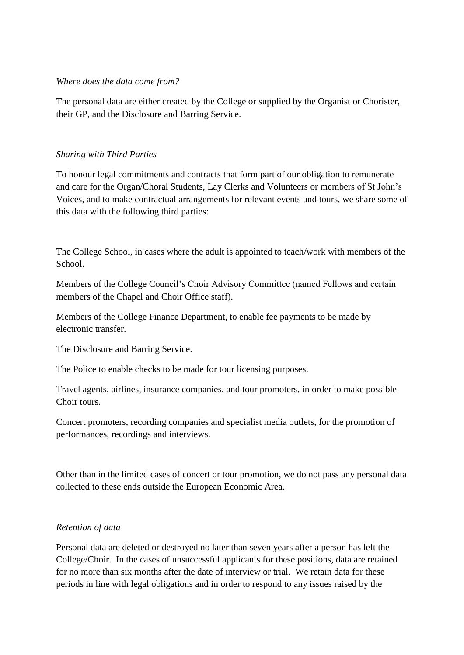## *Where does the data come from?*

The personal data are either created by the College or supplied by the Organist or Chorister, their GP, and the Disclosure and Barring Service.

# *Sharing with Third Parties*

To honour legal commitments and contracts that form part of our obligation to remunerate and care for the Organ/Choral Students, Lay Clerks and Volunteers or members of St John's Voices, and to make contractual arrangements for relevant events and tours, we share some of this data with the following third parties:

The College School, in cases where the adult is appointed to teach/work with members of the School.

Members of the College Council's Choir Advisory Committee (named Fellows and certain members of the Chapel and Choir Office staff).

Members of the College Finance Department, to enable fee payments to be made by electronic transfer.

The Disclosure and Barring Service.

The Police to enable checks to be made for tour licensing purposes.

Travel agents, airlines, insurance companies, and tour promoters, in order to make possible Choir tours.

Concert promoters, recording companies and specialist media outlets, for the promotion of performances, recordings and interviews.

Other than in the limited cases of concert or tour promotion, we do not pass any personal data collected to these ends outside the European Economic Area.

## *Retention of data*

Personal data are deleted or destroyed no later than seven years after a person has left the College/Choir. In the cases of unsuccessful applicants for these positions, data are retained for no more than six months after the date of interview or trial. We retain data for these periods in line with legal obligations and in order to respond to any issues raised by the